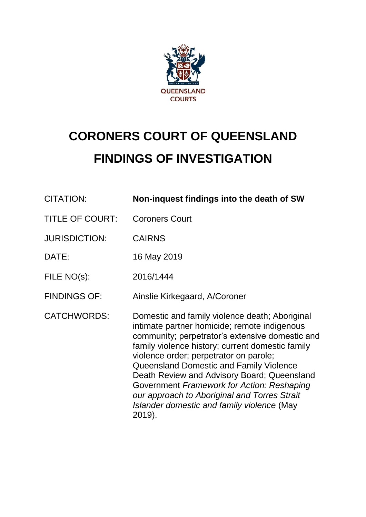

# **CORONERS COURT OF QUEENSLAND FINDINGS OF INVESTIGATION**

| <b>CITATION:</b>       | Non-inquest findings into the death of SW                                                                                                                                                                                                                                                                                                                                                                                                                                                       |
|------------------------|-------------------------------------------------------------------------------------------------------------------------------------------------------------------------------------------------------------------------------------------------------------------------------------------------------------------------------------------------------------------------------------------------------------------------------------------------------------------------------------------------|
| <b>TITLE OF COURT:</b> | <b>Coroners Court</b>                                                                                                                                                                                                                                                                                                                                                                                                                                                                           |
| <b>JURISDICTION:</b>   | <b>CAIRNS</b>                                                                                                                                                                                                                                                                                                                                                                                                                                                                                   |
| DATE:                  | 16 May 2019                                                                                                                                                                                                                                                                                                                                                                                                                                                                                     |
| FILE NO(s):            | 2016/1444                                                                                                                                                                                                                                                                                                                                                                                                                                                                                       |
| <b>FINDINGS OF:</b>    | Ainslie Kirkegaard, A/Coroner                                                                                                                                                                                                                                                                                                                                                                                                                                                                   |
| <b>CATCHWORDS:</b>     | Domestic and family violence death; Aboriginal<br>intimate partner homicide; remote indigenous<br>community; perpetrator's extensive domestic and<br>family violence history; current domestic family<br>violence order; perpetrator on parole;<br>Queensland Domestic and Family Violence<br>Death Review and Advisory Board; Queensland<br>Government Framework for Action: Reshaping<br>our approach to Aboriginal and Torres Strait<br>Islander domestic and family violence (May<br>2019). |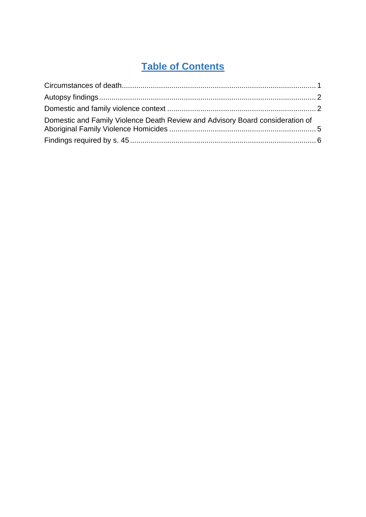# **Table of Contents**

| Domestic and Family Violence Death Review and Advisory Board consideration of |  |
|-------------------------------------------------------------------------------|--|
|                                                                               |  |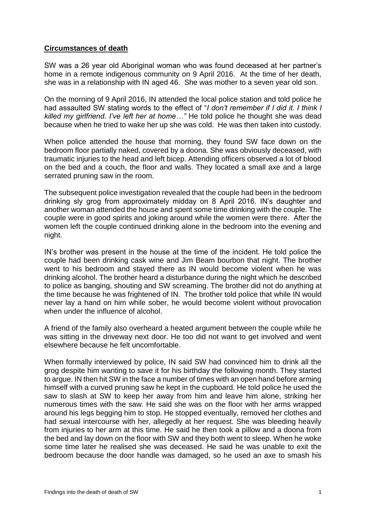## <span id="page-2-0"></span>**Circumstances of death**

SW was a 26 year old Aboriginal woman who was found deceased at her partner's home in a remote indigenous community on 9 April 2016. At the time of her death, she was in a relationship with IN aged 46. She was mother to a seven year old son.

On the morning of 9 April 2016, IN attended the local police station and told police he had assaulted SW stating words to the effect of "*I don't remember if I did it. I think I killed my girlfriend. I've left her at home…"* He told police he thought she was dead because when he tried to wake her up she was cold. He was then taken into custody.

When police attended the house that morning, they found SW face down on the bedroom floor partially naked, covered by a doona. She was obviously deceased, with traumatic injuries to the head and left bicep. Attending officers observed a lot of blood on the bed and a couch, the floor and walls. They located a small axe and a large serrated pruning saw in the room.

The subsequent police investigation revealed that the couple had been in the bedroom drinking sly grog from approximately midday on 8 April 2016. IN's daughter and another woman attended the house and spent some time drinking with the couple. The couple were in good spirits and joking around while the women were there. After the women left the couple continued drinking alone in the bedroom into the evening and night.

IN's brother was present in the house at the time of the incident. He told police the couple had been drinking cask wine and Jim Beam bourbon that night. The brother went to his bedroom and stayed there as IN would become violent when he was drinking alcohol. The brother heard a disturbance during the night which he described to police as banging, shouting and SW screaming. The brother did not do anything at the time because he was frightened of IN. The brother told police that while IN would never lay a hand on him while sober, he would become violent without provocation when under the influence of alcohol.

A friend of the family also overheard a heated argument between the couple while he was sitting in the driveway next door. He too did not want to get involved and went elsewhere because he felt uncomfortable.

When formally interviewed by police, IN said SW had convinced him to drink all the grog despite him wanting to save it for his birthday the following month. They started to argue. IN then hit SW in the face a number of times with an open hand before arming himself with a curved pruning saw he kept in the cupboard. He told police he used the saw to slash at SW to keep her away from him and leave him alone, striking her numerous times with the saw. He said she was on the floor with her arms wrapped around his legs begging him to stop. He stopped eventually, removed her clothes and had sexual intercourse with her, allegedly at her request. She was bleeding heavily from injuries to her arm at this time. He said he then took a pillow and a doona from the bed and lay down on the floor with SW and they both went to sleep. When he woke some time later he realised she was deceased. He said he was unable to exit the bedroom because the door handle was damaged, so he used an axe to smash his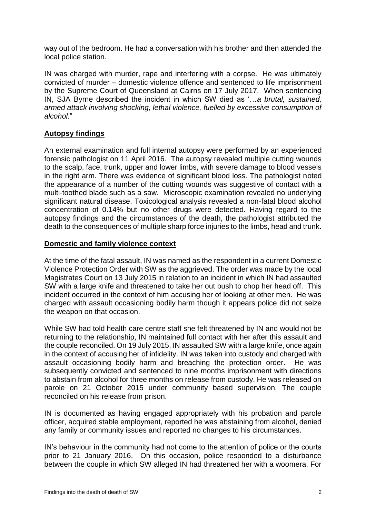way out of the bedroom. He had a conversation with his brother and then attended the local police station.

IN was charged with murder, rape and interfering with a corpse. He was ultimately convicted of murder – domestic violence offence and sentenced to life imprisonment by the Supreme Court of Queensland at Cairns on 17 July 2017. When sentencing IN, SJA Byrne described the incident in which SW died as '…*a brutal, sustained, armed attack involving shocking, lethal violence, fuelled by excessive consumption of alcohol.*"

# <span id="page-3-0"></span>**Autopsy findings**

An external examination and full internal autopsy were performed by an experienced forensic pathologist on 11 April 2016. The autopsy revealed multiple cutting wounds to the scalp, face, trunk, upper and lower limbs, with severe damage to blood vessels in the right arm. There was evidence of significant blood loss. The pathologist noted the appearance of a number of the cutting wounds was suggestive of contact with a multi-toothed blade such as a saw. Microscopic examination revealed no underlying significant natural disease. Toxicological analysis revealed a non-fatal blood alcohol concentration of 0.14% but no other drugs were detected. Having regard to the autopsy findings and the circumstances of the death, the pathologist attributed the death to the consequences of multiple sharp force injuries to the limbs, head and trunk.

# <span id="page-3-1"></span>**Domestic and family violence context**

At the time of the fatal assault, IN was named as the respondent in a current Domestic Violence Protection Order with SW as the aggrieved. The order was made by the local Magistrates Court on 13 July 2015 in relation to an incident in which IN had assaulted SW with a large knife and threatened to take her out bush to chop her head off. This incident occurred in the context of him accusing her of looking at other men. He was charged with assault occasioning bodily harm though it appears police did not seize the weapon on that occasion.

While SW had told health care centre staff she felt threatened by IN and would not be returning to the relationship, IN maintained full contact with her after this assault and the couple reconciled. On 19 July 2015, IN assaulted SW with a large knife, once again in the context of accusing her of infidelity. IN was taken into custody and charged with assault occasioning bodily harm and breaching the protection order. He was subsequently convicted and sentenced to nine months imprisonment with directions to abstain from alcohol for three months on release from custody. He was released on parole on 21 October 2015 under community based supervision. The couple reconciled on his release from prison.

IN is documented as having engaged appropriately with his probation and parole officer, acquired stable employment, reported he was abstaining from alcohol, denied any family or community issues and reported no changes to his circumstances.

IN's behaviour in the community had not come to the attention of police or the courts prior to 21 January 2016. On this occasion, police responded to a disturbance between the couple in which SW alleged IN had threatened her with a woomera. For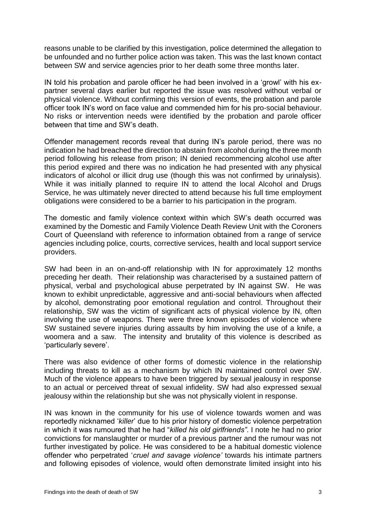reasons unable to be clarified by this investigation, police determined the allegation to be unfounded and no further police action was taken. This was the last known contact between SW and service agencies prior to her death some three months later.

IN told his probation and parole officer he had been involved in a 'growl' with his expartner several days earlier but reported the issue was resolved without verbal or physical violence. Without confirming this version of events, the probation and parole officer took IN's word on face value and commended him for his pro-social behaviour. No risks or intervention needs were identified by the probation and parole officer between that time and SW's death.

Offender management records reveal that during IN's parole period, there was no indication he had breached the direction to abstain from alcohol during the three month period following his release from prison; IN denied recommencing alcohol use after this period expired and there was no indication he had presented with any physical indicators of alcohol or illicit drug use (though this was not confirmed by urinalysis). While it was initially planned to require IN to attend the local Alcohol and Drugs Service, he was ultimately never directed to attend because his full time employment obligations were considered to be a barrier to his participation in the program.

The domestic and family violence context within which SW's death occurred was examined by the Domestic and Family Violence Death Review Unit with the Coroners Court of Queensland with reference to information obtained from a range of service agencies including police, courts, corrective services, health and local support service providers.

SW had been in an on-and-off relationship with IN for approximately 12 months preceding her death. Their relationship was characterised by a sustained pattern of physical, verbal and psychological abuse perpetrated by IN against SW. He was known to exhibit unpredictable, aggressive and anti-social behaviours when affected by alcohol, demonstrating poor emotional regulation and control. Throughout their relationship, SW was the victim of significant acts of physical violence by IN, often involving the use of weapons. There were three known episodes of violence where SW sustained severe injuries during assaults by him involving the use of a knife, a woomera and a saw. The intensity and brutality of this violence is described as 'particularly severe'.

There was also evidence of other forms of domestic violence in the relationship including threats to kill as a mechanism by which IN maintained control over SW. Much of the violence appears to have been triggered by sexual jealousy in response to an actual or perceived threat of sexual infidelity. SW had also expressed sexual jealousy within the relationship but she was not physically violent in response.

IN was known in the community for his use of violence towards women and was reportedly nicknamed '*killer*' due to his prior history of domestic violence perpetration in which it was rumoured that he had "*killed his old girlfriends"*. I note he had no prior convictions for manslaughter or murder of a previous partner and the rumour was not further investigated by police. He was considered to be a habitual domestic violence offender who perpetrated '*cruel and savage violence'* towards his intimate partners and following episodes of violence, would often demonstrate limited insight into his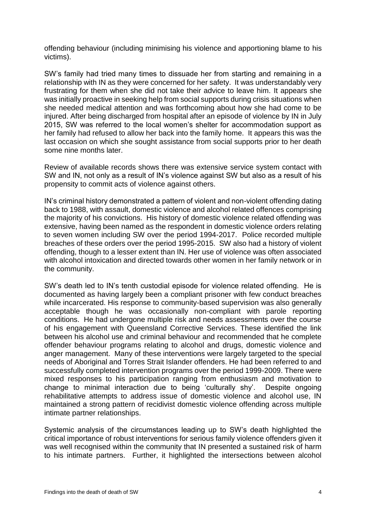offending behaviour (including minimising his violence and apportioning blame to his victims).

SW's family had tried many times to dissuade her from starting and remaining in a relationship with IN as they were concerned for her safety. It was understandably very frustrating for them when she did not take their advice to leave him. It appears she was initially proactive in seeking help from social supports during crisis situations when she needed medical attention and was forthcoming about how she had come to be injured. After being discharged from hospital after an episode of violence by IN in July 2015, SW was referred to the local women's shelter for accommodation support as her family had refused to allow her back into the family home. It appears this was the last occasion on which she sought assistance from social supports prior to her death some nine months later.

Review of available records shows there was extensive service system contact with SW and IN, not only as a result of IN's violence against SW but also as a result of his propensity to commit acts of violence against others.

IN's criminal history demonstrated a pattern of violent and non-violent offending dating back to 1988, with assault, domestic violence and alcohol related offences comprising the majority of his convictions. His history of domestic violence related offending was extensive, having been named as the respondent in domestic violence orders relating to seven women including SW over the period 1994-2017. Police recorded multiple breaches of these orders over the period 1995-2015. SW also had a history of violent offending, though to a lesser extent than IN. Her use of violence was often associated with alcohol intoxication and directed towards other women in her family network or in the community.

SW's death led to IN's tenth custodial episode for violence related offending. He is documented as having largely been a compliant prisoner with few conduct breaches while incarcerated. His response to community-based supervision was also generally acceptable though he was occasionally non-compliant with parole reporting conditions. He had undergone multiple risk and needs assessments over the course of his engagement with Queensland Corrective Services. These identified the link between his alcohol use and criminal behaviour and recommended that he complete offender behaviour programs relating to alcohol and drugs, domestic violence and anger management. Many of these interventions were largely targeted to the special needs of Aboriginal and Torres Strait Islander offenders. He had been referred to and successfully completed intervention programs over the period 1999-2009. There were mixed responses to his participation ranging from enthusiasm and motivation to change to minimal interaction due to being 'culturally shy'. Despite ongoing rehabilitative attempts to address issue of domestic violence and alcohol use, IN maintained a strong pattern of recidivist domestic violence offending across multiple intimate partner relationships.

Systemic analysis of the circumstances leading up to SW's death highlighted the critical importance of robust interventions for serious family violence offenders given it was well recognised within the community that IN presented a sustained risk of harm to his intimate partners. Further, it highlighted the intersections between alcohol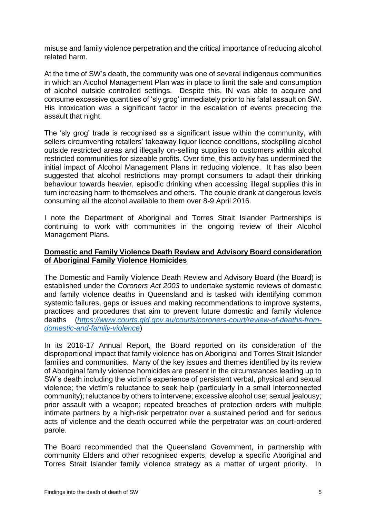misuse and family violence perpetration and the critical importance of reducing alcohol related harm.

At the time of SW's death, the community was one of several indigenous communities in which an Alcohol Management Plan was in place to limit the sale and consumption of alcohol outside controlled settings. Despite this, IN was able to acquire and consume excessive quantities of 'sly grog' immediately prior to his fatal assault on SW. His intoxication was a significant factor in the escalation of events preceding the assault that night.

The 'sly grog' trade is recognised as a significant issue within the community, with sellers circumventing retailers' takeaway liquor licence conditions, stockpiling alcohol outside restricted areas and illegally on-selling supplies to customers within alcohol restricted communities for sizeable profits. Over time, this activity has undermined the initial impact of Alcohol Management Plans in reducing violence. It has also been suggested that alcohol restrictions may prompt consumers to adapt their drinking behaviour towards heavier, episodic drinking when accessing illegal supplies this in turn increasing harm to themselves and others. The couple drank at dangerous levels consuming all the alcohol available to them over 8-9 April 2016.

I note the Department of Aboriginal and Torres Strait Islander Partnerships is continuing to work with communities in the ongoing review of their Alcohol Management Plans.

### <span id="page-6-0"></span>**Domestic and Family Violence Death Review and Advisory Board consideration of Aboriginal Family Violence Homicides**

The Domestic and Family Violence Death Review and Advisory Board (the Board) is established under the *Coroners Act 2003* to undertake systemic reviews of domestic and family violence deaths in Queensland and is tasked with identifying common systemic failures, gaps or issues and making recommendations to improve systems, practices and procedures that aim to prevent future domestic and family violence deaths (*[https://www.courts.qld.gov.au/courts/coroners-court/review-of-deaths-from](https://www.courts.qld.gov.au/courts/coroners-court/review-of-deaths-from-domestic-and-family-violence)[domestic-and-family-violence](https://www.courts.qld.gov.au/courts/coroners-court/review-of-deaths-from-domestic-and-family-violence)*)

In its 2016-17 Annual Report, the Board reported on its consideration of the disproportional impact that family violence has on Aboriginal and Torres Strait Islander families and communities. Many of the key issues and themes identified by its review of Aboriginal family violence homicides are present in the circumstances leading up to SW's death including the victim's experience of persistent verbal, physical and sexual violence; the victim's reluctance to seek help (particularly in a small interconnected community); reluctance by others to intervene; excessive alcohol use; sexual jealousy; prior assault with a weapon; repeated breaches of protection orders with multiple intimate partners by a high-risk perpetrator over a sustained period and for serious acts of violence and the death occurred while the perpetrator was on court-ordered parole.

The Board recommended that the Queensland Government, in partnership with community Elders and other recognised experts, develop a specific Aboriginal and Torres Strait Islander family violence strategy as a matter of urgent priority. In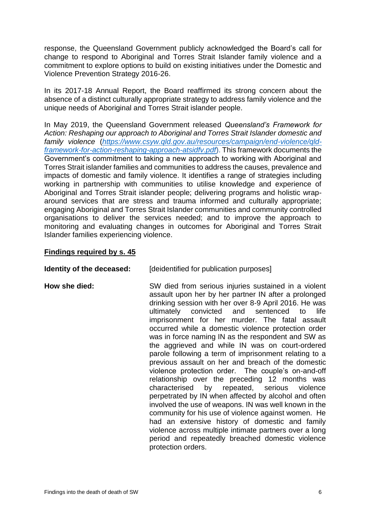response, the Queensland Government publicly acknowledged the Board's call for change to respond to Aboriginal and Torres Strait Islander family violence and a commitment to explore options to build on existing initiatives under the Domestic and Violence Prevention Strategy 2016-26.

In its 2017-18 Annual Report, the Board reaffirmed its strong concern about the absence of a distinct culturally appropriate strategy to address family violence and the unique needs of Aboriginal and Torres Strait islander people.

In May 2019, the Queensland Government released *Queensland's Framework for Action: Reshaping our approach to Aboriginal and Torres Strait Islander domestic and family violence* (*[https://www.csyw.qld.gov.au/resources/campaign/end-violence/qld](https://www.csyw.qld.gov.au/resources/campaign/end-violence/qld-framework-for-action-reshaping-approach-atsidfv.pdf)[framework-for-action-reshaping-approach-atsidfv.pdf](https://www.csyw.qld.gov.au/resources/campaign/end-violence/qld-framework-for-action-reshaping-approach-atsidfv.pdf)*). This framework documents the Government's commitment to taking a new approach to working with Aboriginal and Torres Strait islander families and communities to address the causes, prevalence and impacts of domestic and family violence. It identifies a range of strategies including working in partnership with communities to utilise knowledge and experience of Aboriginal and Torres Strait islander people; delivering programs and holistic wraparound services that are stress and trauma informed and culturally appropriate; engaging Aboriginal and Torres Strait Islander communities and community controlled organisations to deliver the services needed; and to improve the approach to monitoring and evaluating changes in outcomes for Aboriginal and Torres Strait Islander families experiencing violence.

#### <span id="page-7-0"></span>**Findings required by s. 45**

### **Identity of the deceased:** [deidentified for publication purposes]

**How she died:** SW died from serious injuries sustained in a violent assault upon her by her partner IN after a prolonged drinking session with her over 8-9 April 2016. He was ultimately convicted and sentenced to life imprisonment for her murder. The fatal assault occurred while a domestic violence protection order was in force naming IN as the respondent and SW as the aggrieved and while IN was on court-ordered parole following a term of imprisonment relating to a previous assault on her and breach of the domestic violence protection order. The couple's on-and-off relationship over the preceding 12 months was characterised by repeated, serious violence perpetrated by IN when affected by alcohol and often involved the use of weapons. IN was well known in the community for his use of violence against women. He had an extensive history of domestic and family violence across multiple intimate partners over a long period and repeatedly breached domestic violence protection orders.